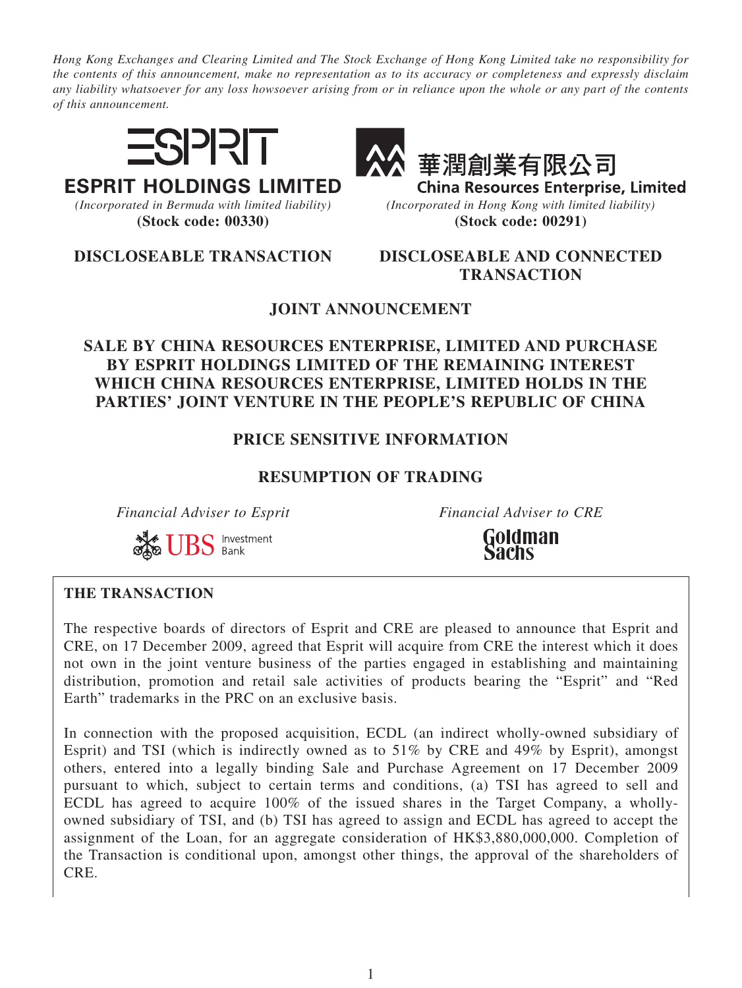*Hong Kong Exchanges and Clearing Limited and The Stock Exchange of Hong Kong Limited take no responsibility for the contents of this announcement, make no representation as to its accuracy or completeness and expressly disclaim any liability whatsoever for any loss howsoever arising from or in reliance upon the whole or any part of the contents of this announcement.*





**ESPRIT HOLDINGS LIMITED** *(Incorporated in Bermuda with limited liability)* 

**China Resources Enterprise, Limited** *(Incorporated in Bermuda with limited liability) (Incorporated in Hong Kong with limited liability)* **(Stock code: 00330) (Stock code: 00291)**

華潤創業有限公司

## **DISCLOSEABLE TRANSACTION DISCLOSEABLE AND CONNECTED TRANSACTION**

# **JOINT ANNOUNCEMENT**

# **SALE BY CHINA RESOURCES ENTERPRISE, LIMITED AND PURCHASE BY ESPRIT HOLDINGS LIMITED OF THE REMAINING INTEREST WHICH CHINA RESOURCES ENTERPRISE, LIMITED HOLDS IN THE PARTIES' JOINT VENTURE IN THE PEOPLE'S REPUBLIC OF CHINA**

# **PRICE SENSITIVE INFORMATION**

# **RESUMPTION OF TRADING**

*Financial Adviser to Esprit Financial Adviser to CRE*

**UBS Investment** 

Goldman

## **THE TRANSACTION**

The respective boards of directors of Esprit and CRE are pleased to announce that Esprit and CRE, on 17 December 2009, agreed that Esprit will acquire from CRE the interest which it does not own in the joint venture business of the parties engaged in establishing and maintaining distribution, promotion and retail sale activities of products bearing the "Esprit" and "Red Earth" trademarks in the PRC on an exclusive basis.

In connection with the proposed acquisition, ECDL (an indirect wholly-owned subsidiary of Esprit) and TSI (which is indirectly owned as to 51% by CRE and 49% by Esprit), amongst others, entered into a legally binding Sale and Purchase Agreement on 17 December 2009 pursuant to which, subject to certain terms and conditions, (a) TSI has agreed to sell and ECDL has agreed to acquire 100% of the issued shares in the Target Company, a whollyowned subsidiary of TSI, and (b) TSI has agreed to assign and ECDL has agreed to accept the assignment of the Loan, for an aggregate consideration of HK\$3,880,000,000. Completion of the Transaction is conditional upon, amongst other things, the approval of the shareholders of CRE.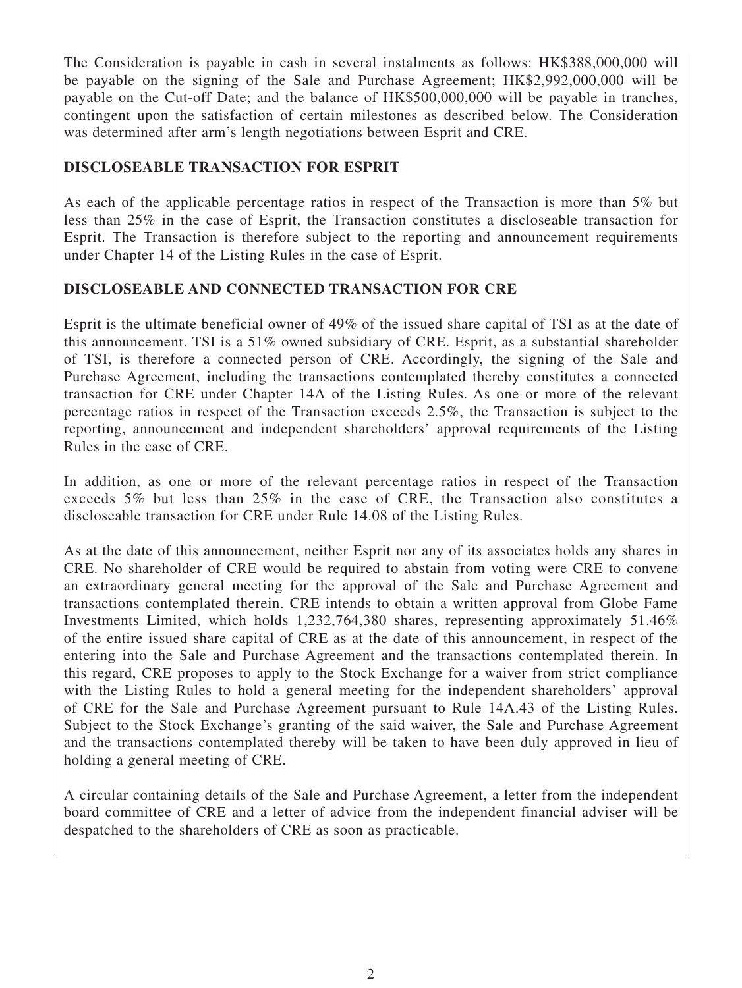The Consideration is payable in cash in several instalments as follows: HK\$388,000,000 will be payable on the signing of the Sale and Purchase Agreement; HK\$2,992,000,000 will be payable on the Cut-off Date; and the balance of HK\$500,000,000 will be payable in tranches, contingent upon the satisfaction of certain milestones as described below. The Consideration was determined after arm's length negotiations between Esprit and CRE.

### **DISCLOSEABLE TRANSACTION FOR ESPRIT**

As each of the applicable percentage ratios in respect of the Transaction is more than 5% but less than 25% in the case of Esprit, the Transaction constitutes a discloseable transaction for Esprit. The Transaction is therefore subject to the reporting and announcement requirements under Chapter 14 of the Listing Rules in the case of Esprit.

## **DISCLOSEABLE AND CONNECTED TRANSACTION FOR CRE**

Esprit is the ultimate beneficial owner of 49% of the issued share capital of TSI as at the date of this announcement. TSI is a 51% owned subsidiary of CRE. Esprit, as a substantial shareholder of TSI, is therefore a connected person of CRE. Accordingly, the signing of the Sale and Purchase Agreement, including the transactions contemplated thereby constitutes a connected transaction for CRE under Chapter 14A of the Listing Rules. As one or more of the relevant percentage ratios in respect of the Transaction exceeds 2.5%, the Transaction is subject to the reporting, announcement and independent shareholders' approval requirements of the Listing Rules in the case of CRE.

In addition, as one or more of the relevant percentage ratios in respect of the Transaction exceeds 5% but less than 25% in the case of CRE, the Transaction also constitutes a discloseable transaction for CRE under Rule 14.08 of the Listing Rules.

As at the date of this announcement, neither Esprit nor any of its associates holds any shares in CRE. No shareholder of CRE would be required to abstain from voting were CRE to convene an extraordinary general meeting for the approval of the Sale and Purchase Agreement and transactions contemplated therein. CRE intends to obtain a written approval from Globe Fame Investments Limited, which holds 1,232,764,380 shares, representing approximately 51.46% of the entire issued share capital of CRE as at the date of this announcement, in respect of the entering into the Sale and Purchase Agreement and the transactions contemplated therein. In this regard, CRE proposes to apply to the Stock Exchange for a waiver from strict compliance with the Listing Rules to hold a general meeting for the independent shareholders' approval of CRE for the Sale and Purchase Agreement pursuant to Rule 14A.43 of the Listing Rules. Subject to the Stock Exchange's granting of the said waiver, the Sale and Purchase Agreement and the transactions contemplated thereby will be taken to have been duly approved in lieu of holding a general meeting of CRE.

A circular containing details of the Sale and Purchase Agreement, a letter from the independent board committee of CRE and a letter of advice from the independent financial adviser will be despatched to the shareholders of CRE as soon as practicable.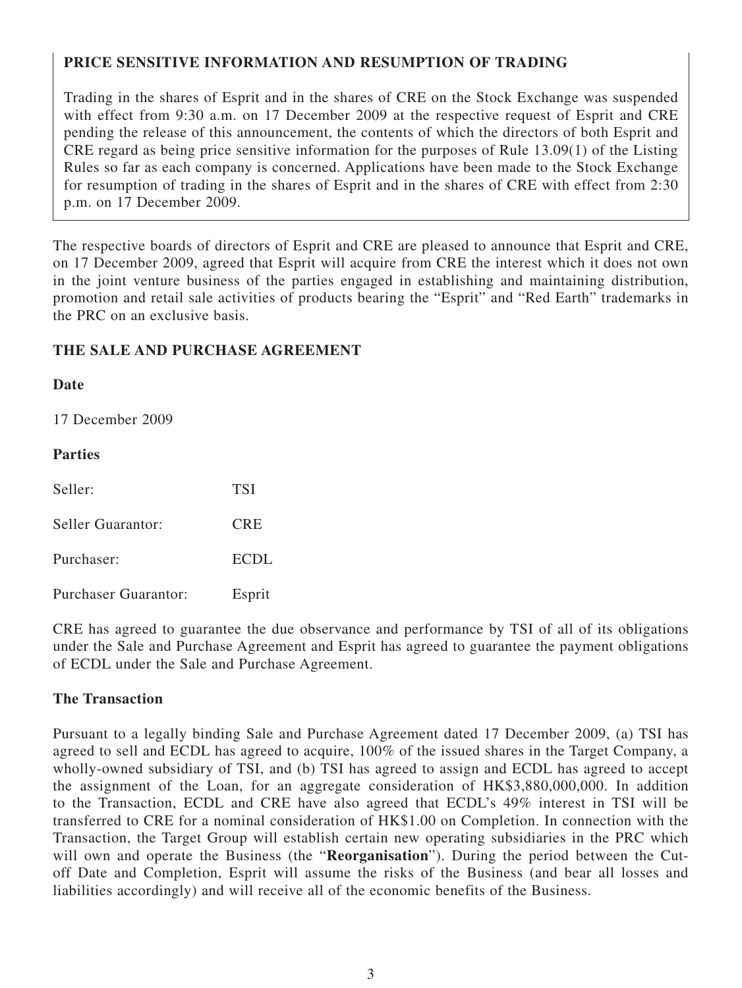### **PRICE SENSITIVE INFORMATION AND RESUMPTION OF TRADING**

Trading in the shares of Esprit and in the shares of CRE on the Stock Exchange was suspended with effect from 9:30 a.m. on 17 December 2009 at the respective request of Esprit and CRE pending the release of this announcement, the contents of which the directors of both Esprit and CRE regard as being price sensitive information for the purposes of Rule 13.09(1) of the Listing Rules so far as each company is concerned. Applications have been made to the Stock Exchange for resumption of trading in the shares of Esprit and in the shares of CRE with effect from 2:30 p.m. on 17 December 2009.

The respective boards of directors of Esprit and CRE are pleased to announce that Esprit and CRE, on 17 December 2009, agreed that Esprit will acquire from CRE the interest which it does not own in the joint venture business of the parties engaged in establishing and maintaining distribution, promotion and retail sale activities of products bearing the "Esprit" and "Red Earth" trademarks in the PRC on an exclusive basis.

#### **THE SALE AND PURCHASE AGREEMENT**

| Date                 |             |
|----------------------|-------------|
| 17 December 2009     |             |
| <b>Parties</b>       |             |
| Seller:              | <b>TSI</b>  |
| Seller Guarantor:    | <b>CRE</b>  |
| Purchaser:           | <b>ECDL</b> |
| Purchaser Guarantor: | Esprit      |

CRE has agreed to guarantee the due observance and performance by TSI of all of its obligations under the Sale and Purchase Agreement and Esprit has agreed to guarantee the payment obligations of ECDL under the Sale and Purchase Agreement.

#### **The Transaction**

Pursuant to a legally binding Sale and Purchase Agreement dated 17 December 2009, (a) TSI has agreed to sell and ECDL has agreed to acquire, 100% of the issued shares in the Target Company, a wholly-owned subsidiary of TSI, and (b) TSI has agreed to assign and ECDL has agreed to accept the assignment of the Loan, for an aggregate consideration of HK\$3,880,000,000. In addition to the Transaction, ECDL and CRE have also agreed that ECDL's 49% interest in TSI will be transferred to CRE for a nominal consideration of HK\$1.00 on Completion. In connection with the Transaction, the Target Group will establish certain new operating subsidiaries in the PRC which will own and operate the Business (the "**Reorganisation**"). During the period between the Cutoff Date and Completion, Esprit will assume the risks of the Business (and bear all losses and liabilities accordingly) and will receive all of the economic benefits of the Business.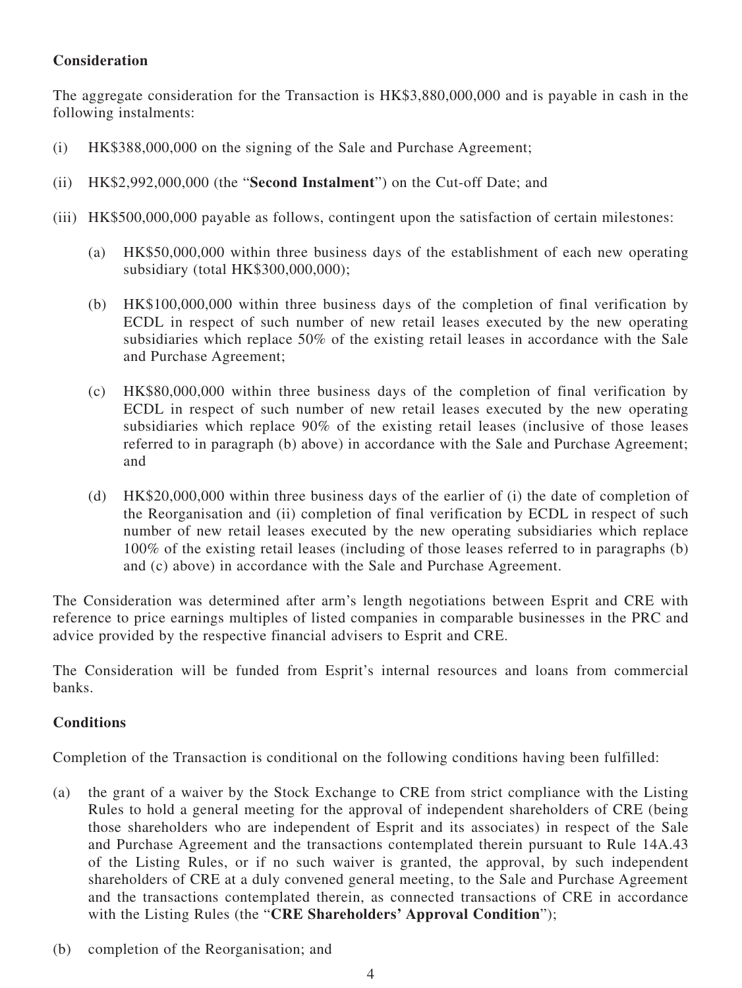## **Consideration**

The aggregate consideration for the Transaction is HK\$3,880,000,000 and is payable in cash in the following instalments:

- (i) HK\$388,000,000 on the signing of the Sale and Purchase Agreement;
- (ii) HK\$2,992,000,000 (the "**Second Instalment**") on the Cut-off Date; and
- (iii) HK\$500,000,000 payable as follows, contingent upon the satisfaction of certain milestones:
	- (a) HK\$50,000,000 within three business days of the establishment of each new operating subsidiary (total HK\$300,000,000);
	- (b) HK\$100,000,000 within three business days of the completion of final verification by ECDL in respect of such number of new retail leases executed by the new operating subsidiaries which replace 50% of the existing retail leases in accordance with the Sale and Purchase Agreement;
	- (c) HK\$80,000,000 within three business days of the completion of final verification by ECDL in respect of such number of new retail leases executed by the new operating subsidiaries which replace 90% of the existing retail leases (inclusive of those leases referred to in paragraph (b) above) in accordance with the Sale and Purchase Agreement; and
	- (d) HK\$20,000,000 within three business days of the earlier of (i) the date of completion of the Reorganisation and (ii) completion of final verification by ECDL in respect of such number of new retail leases executed by the new operating subsidiaries which replace 100% of the existing retail leases (including of those leases referred to in paragraphs (b) and (c) above) in accordance with the Sale and Purchase Agreement.

The Consideration was determined after arm's length negotiations between Esprit and CRE with reference to price earnings multiples of listed companies in comparable businesses in the PRC and advice provided by the respective financial advisers to Esprit and CRE.

The Consideration will be funded from Esprit's internal resources and loans from commercial banks.

#### **Conditions**

Completion of the Transaction is conditional on the following conditions having been fulfilled:

- (a) the grant of a waiver by the Stock Exchange to CRE from strict compliance with the Listing Rules to hold a general meeting for the approval of independent shareholders of CRE (being those shareholders who are independent of Esprit and its associates) in respect of the Sale and Purchase Agreement and the transactions contemplated therein pursuant to Rule 14A.43 of the Listing Rules, or if no such waiver is granted, the approval, by such independent shareholders of CRE at a duly convened general meeting, to the Sale and Purchase Agreement and the transactions contemplated therein, as connected transactions of CRE in accordance with the Listing Rules (the "**CRE Shareholders' Approval Condition**");
- (b) completion of the Reorganisation; and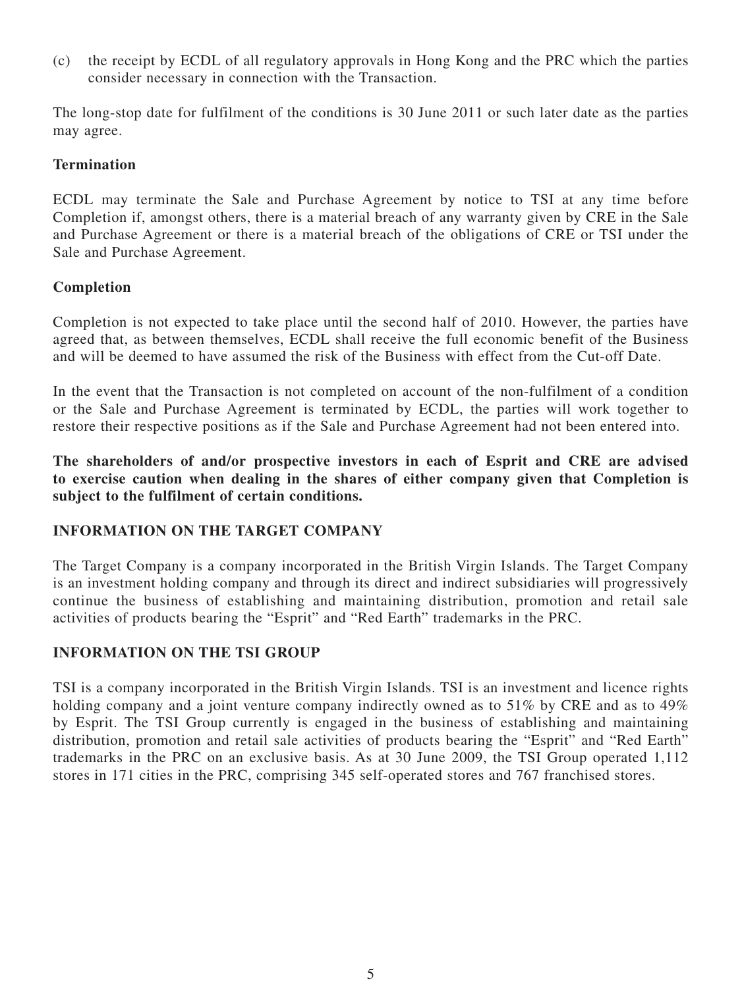(c) the receipt by ECDL of all regulatory approvals in Hong Kong and the PRC which the parties consider necessary in connection with the Transaction.

The long-stop date for fulfilment of the conditions is 30 June 2011 or such later date as the parties may agree.

#### **Termination**

ECDL may terminate the Sale and Purchase Agreement by notice to TSI at any time before Completion if, amongst others, there is a material breach of any warranty given by CRE in the Sale and Purchase Agreement or there is a material breach of the obligations of CRE or TSI under the Sale and Purchase Agreement.

#### **Completion**

Completion is not expected to take place until the second half of 2010. However, the parties have agreed that, as between themselves, ECDL shall receive the full economic benefit of the Business and will be deemed to have assumed the risk of the Business with effect from the Cut-off Date.

In the event that the Transaction is not completed on account of the non-fulfilment of a condition or the Sale and Purchase Agreement is terminated by ECDL, the parties will work together to restore their respective positions as if the Sale and Purchase Agreement had not been entered into.

**The shareholders of and/or prospective investors in each of Esprit and CRE are advised to exercise caution when dealing in the shares of either company given that Completion is subject to the fulfilment of certain conditions.**

#### **INFORMATION ON THE TARGET COMPANY**

The Target Company is a company incorporated in the British Virgin Islands. The Target Company is an investment holding company and through its direct and indirect subsidiaries will progressively continue the business of establishing and maintaining distribution, promotion and retail sale activities of products bearing the "Esprit" and "Red Earth" trademarks in the PRC.

#### **INFORMATION ON THE TSI GROUP**

TSI is a company incorporated in the British Virgin Islands. TSI is an investment and licence rights holding company and a joint venture company indirectly owned as to 51% by CRE and as to 49% by Esprit. The TSI Group currently is engaged in the business of establishing and maintaining distribution, promotion and retail sale activities of products bearing the "Esprit" and "Red Earth" trademarks in the PRC on an exclusive basis. As at 30 June 2009, the TSI Group operated 1,112 stores in 171 cities in the PRC, comprising 345 self-operated stores and 767 franchised stores.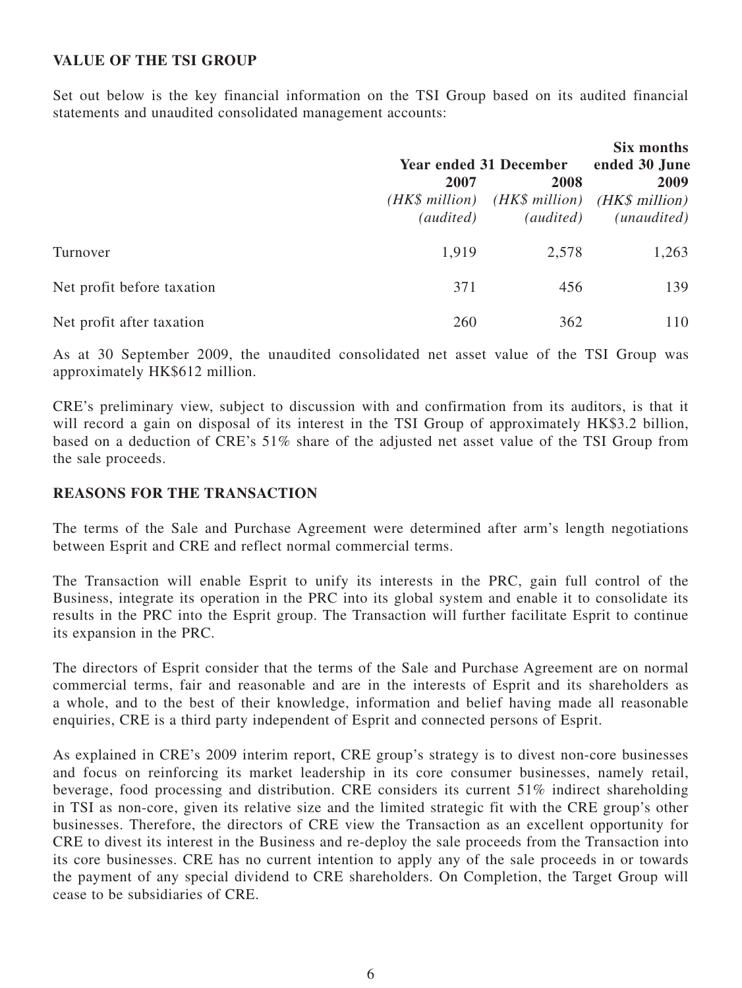#### **VALUE OF THE TSI GROUP**

Set out below is the key financial information on the TSI Group based on its audited financial statements and unaudited consolidated management accounts:

|                            | <b>Year ended 31 December</b> |                          | Six months<br>ended 30 June                                                  |  |
|----------------------------|-------------------------------|--------------------------|------------------------------------------------------------------------------|--|
|                            | 2007<br>(audited)             | 2008<br><i>(audited)</i> | 2009<br>(HK\$ million) (HK\$ million) (HK\$ million)<br>( <i>unaudited</i> ) |  |
| Turnover                   | 1,919                         | 2,578                    | 1,263                                                                        |  |
| Net profit before taxation | 371                           | 456                      | 139                                                                          |  |
| Net profit after taxation  | 260                           | 362                      | 110                                                                          |  |

As at 30 September 2009, the unaudited consolidated net asset value of the TSI Group was approximately HK\$612 million.

CRE's preliminary view, subject to discussion with and confirmation from its auditors, is that it will record a gain on disposal of its interest in the TSI Group of approximately HK\$3.2 billion, based on a deduction of CRE's 51% share of the adjusted net asset value of the TSI Group from the sale proceeds.

#### **REASONS FOR THE TRANSACTION**

The terms of the Sale and Purchase Agreement were determined after arm's length negotiations between Esprit and CRE and reflect normal commercial terms.

The Transaction will enable Esprit to unify its interests in the PRC, gain full control of the Business, integrate its operation in the PRC into its global system and enable it to consolidate its results in the PRC into the Esprit group. The Transaction will further facilitate Esprit to continue its expansion in the PRC.

The directors of Esprit consider that the terms of the Sale and Purchase Agreement are on normal commercial terms, fair and reasonable and are in the interests of Esprit and its shareholders as a whole, and to the best of their knowledge, information and belief having made all reasonable enquiries, CRE is a third party independent of Esprit and connected persons of Esprit.

As explained in CRE's 2009 interim report, CRE group's strategy is to divest non-core businesses and focus on reinforcing its market leadership in its core consumer businesses, namely retail, beverage, food processing and distribution. CRE considers its current 51% indirect shareholding in TSI as non-core, given its relative size and the limited strategic fit with the CRE group's other businesses. Therefore, the directors of CRE view the Transaction as an excellent opportunity for CRE to divest its interest in the Business and re-deploy the sale proceeds from the Transaction into its core businesses. CRE has no current intention to apply any of the sale proceeds in or towards the payment of any special dividend to CRE shareholders. On Completion, the Target Group will cease to be subsidiaries of CRE.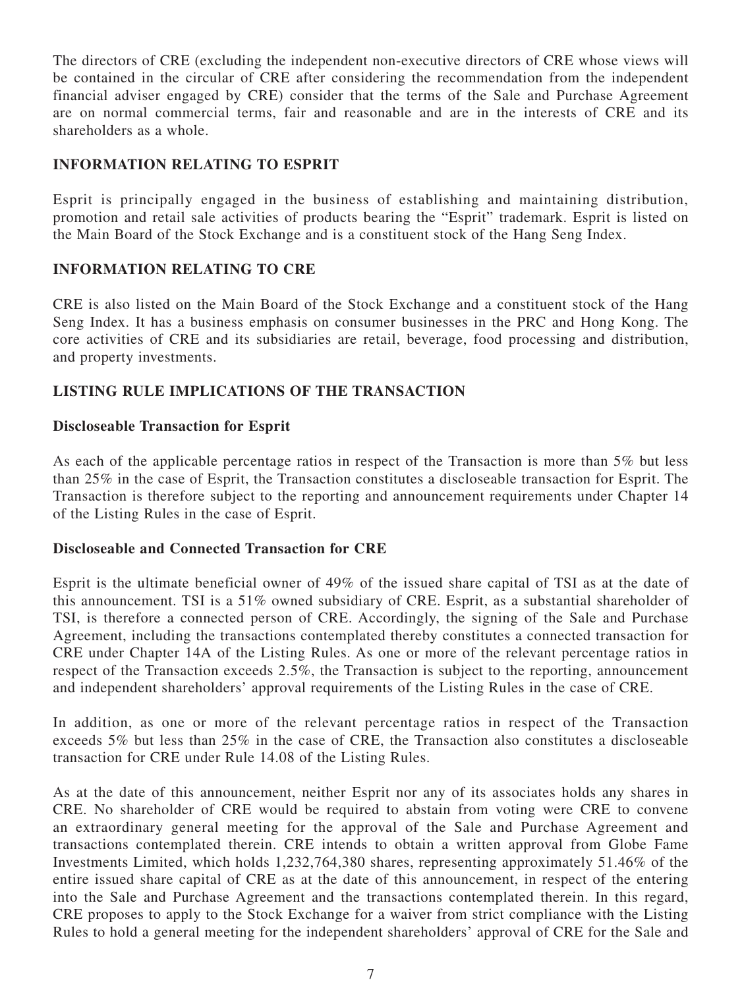The directors of CRE (excluding the independent non-executive directors of CRE whose views will be contained in the circular of CRE after considering the recommendation from the independent financial adviser engaged by CRE) consider that the terms of the Sale and Purchase Agreement are on normal commercial terms, fair and reasonable and are in the interests of CRE and its shareholders as a whole.

### **INFORMATION RELATING TO ESPRIT**

Esprit is principally engaged in the business of establishing and maintaining distribution, promotion and retail sale activities of products bearing the "Esprit" trademark. Esprit is listed on the Main Board of the Stock Exchange and is a constituent stock of the Hang Seng Index.

#### **INFORMATION RELATING TO CRE**

CRE is also listed on the Main Board of the Stock Exchange and a constituent stock of the Hang Seng Index. It has a business emphasis on consumer businesses in the PRC and Hong Kong. The core activities of CRE and its subsidiaries are retail, beverage, food processing and distribution, and property investments.

## **LISTING RULE IMPLICATIONS OF THE TRANSACTION**

#### **Discloseable Transaction for Esprit**

As each of the applicable percentage ratios in respect of the Transaction is more than 5% but less than 25% in the case of Esprit, the Transaction constitutes a discloseable transaction for Esprit. The Transaction is therefore subject to the reporting and announcement requirements under Chapter 14 of the Listing Rules in the case of Esprit.

#### **Discloseable and Connected Transaction for CRE**

Esprit is the ultimate beneficial owner of 49% of the issued share capital of TSI as at the date of this announcement. TSI is a 51% owned subsidiary of CRE. Esprit, as a substantial shareholder of TSI, is therefore a connected person of CRE. Accordingly, the signing of the Sale and Purchase Agreement, including the transactions contemplated thereby constitutes a connected transaction for CRE under Chapter 14A of the Listing Rules. As one or more of the relevant percentage ratios in respect of the Transaction exceeds 2.5%, the Transaction is subject to the reporting, announcement and independent shareholders' approval requirements of the Listing Rules in the case of CRE.

In addition, as one or more of the relevant percentage ratios in respect of the Transaction exceeds 5% but less than 25% in the case of CRE, the Transaction also constitutes a discloseable transaction for CRE under Rule 14.08 of the Listing Rules.

As at the date of this announcement, neither Esprit nor any of its associates holds any shares in CRE. No shareholder of CRE would be required to abstain from voting were CRE to convene an extraordinary general meeting for the approval of the Sale and Purchase Agreement and transactions contemplated therein. CRE intends to obtain a written approval from Globe Fame Investments Limited, which holds 1,232,764,380 shares, representing approximately 51.46% of the entire issued share capital of CRE as at the date of this announcement, in respect of the entering into the Sale and Purchase Agreement and the transactions contemplated therein. In this regard, CRE proposes to apply to the Stock Exchange for a waiver from strict compliance with the Listing Rules to hold a general meeting for the independent shareholders' approval of CRE for the Sale and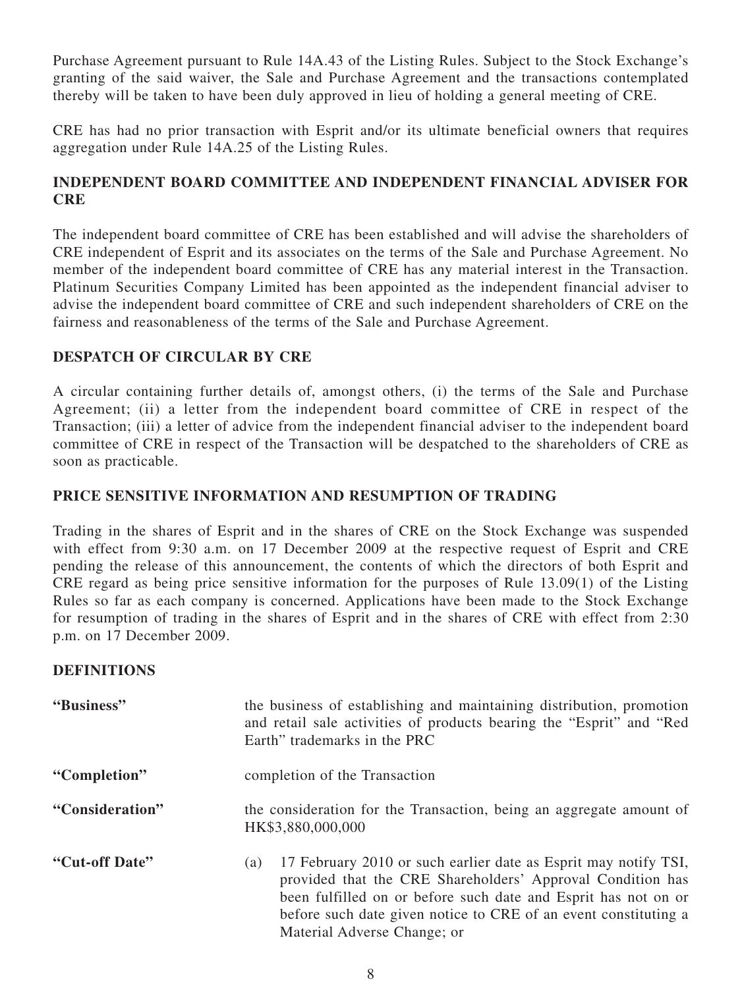Purchase Agreement pursuant to Rule 14A.43 of the Listing Rules. Subject to the Stock Exchange's granting of the said waiver, the Sale and Purchase Agreement and the transactions contemplated thereby will be taken to have been duly approved in lieu of holding a general meeting of CRE.

CRE has had no prior transaction with Esprit and/or its ultimate beneficial owners that requires aggregation under Rule 14A.25 of the Listing Rules.

### **INDEPENDENT BOARD COMMITTEE AND INDEPENDENT FINANCIAL ADVISER FOR CRE**

The independent board committee of CRE has been established and will advise the shareholders of CRE independent of Esprit and its associates on the terms of the Sale and Purchase Agreement. No member of the independent board committee of CRE has any material interest in the Transaction. Platinum Securities Company Limited has been appointed as the independent financial adviser to advise the independent board committee of CRE and such independent shareholders of CRE on the fairness and reasonableness of the terms of the Sale and Purchase Agreement.

#### **DESPATCH OF CIRCULAR BY CRE**

A circular containing further details of, amongst others, (i) the terms of the Sale and Purchase Agreement; (ii) a letter from the independent board committee of CRE in respect of the Transaction; (iii) a letter of advice from the independent financial adviser to the independent board committee of CRE in respect of the Transaction will be despatched to the shareholders of CRE as soon as practicable.

#### **PRICE SENSITIVE INFORMATION AND RESUMPTION OF TRADING**

Trading in the shares of Esprit and in the shares of CRE on the Stock Exchange was suspended with effect from 9:30 a.m. on 17 December 2009 at the respective request of Esprit and CRE pending the release of this announcement, the contents of which the directors of both Esprit and CRE regard as being price sensitive information for the purposes of Rule 13.09(1) of the Listing Rules so far as each company is concerned. Applications have been made to the Stock Exchange for resumption of trading in the shares of Esprit and in the shares of CRE with effect from 2:30 p.m. on 17 December 2009.

#### **DEFINITIONS**

| "Business"      | the business of establishing and maintaining distribution, promotion<br>and retail sale activities of products bearing the "Esprit" and "Red<br>Earth" trademarks in the PRC                                                                                                                             |
|-----------------|----------------------------------------------------------------------------------------------------------------------------------------------------------------------------------------------------------------------------------------------------------------------------------------------------------|
| "Completion"    | completion of the Transaction                                                                                                                                                                                                                                                                            |
| "Consideration" | the consideration for the Transaction, being an aggregate amount of<br>HK\$3,880,000,000                                                                                                                                                                                                                 |
| "Cut-off Date"  | 17 February 2010 or such earlier date as Esprit may notify TSI,<br>(a)<br>provided that the CRE Shareholders' Approval Condition has<br>been fulfilled on or before such date and Esprit has not on or<br>before such date given notice to CRE of an event constituting a<br>Material Adverse Change; or |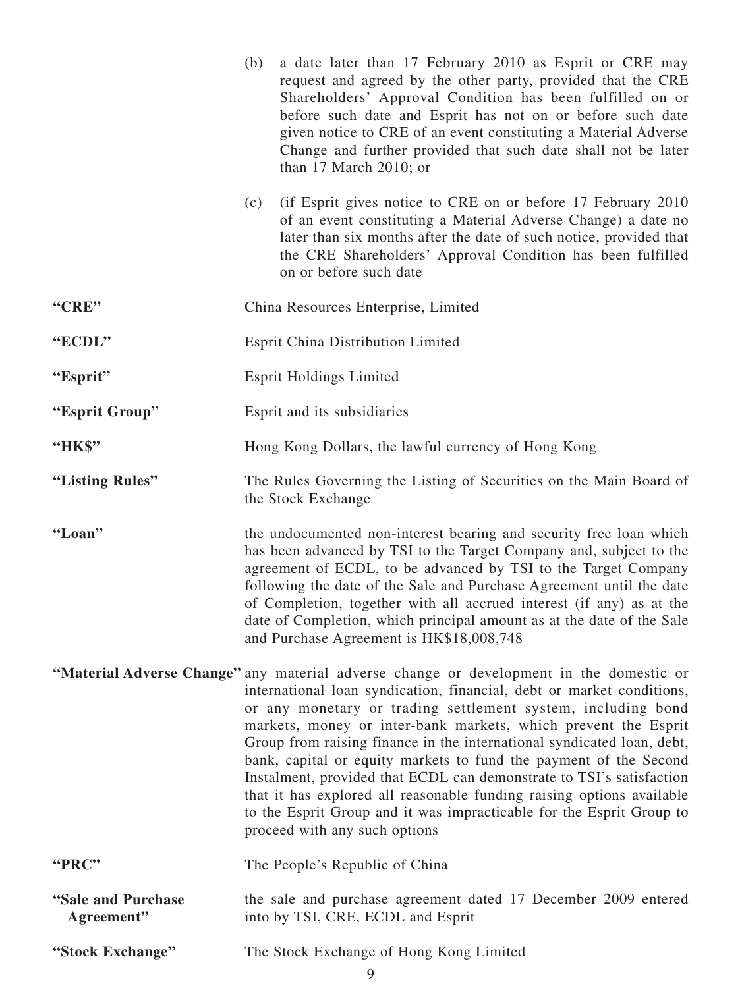|                                   | a date later than 17 February 2010 as Esprit or CRE may<br>(b)<br>request and agreed by the other party, provided that the CRE<br>Shareholders' Approval Condition has been fulfilled on or<br>before such date and Esprit has not on or before such date<br>given notice to CRE of an event constituting a Material Adverse<br>Change and further provided that such date shall not be later<br>than $17$ March $2010$ ; or                                                                                                                                                                                                                                                                                |
|-----------------------------------|-------------------------------------------------------------------------------------------------------------------------------------------------------------------------------------------------------------------------------------------------------------------------------------------------------------------------------------------------------------------------------------------------------------------------------------------------------------------------------------------------------------------------------------------------------------------------------------------------------------------------------------------------------------------------------------------------------------|
|                                   | (if Esprit gives notice to CRE on or before 17 February 2010)<br>(c)<br>of an event constituting a Material Adverse Change) a date no<br>later than six months after the date of such notice, provided that<br>the CRE Shareholders' Approval Condition has been fulfilled<br>on or before such date                                                                                                                                                                                                                                                                                                                                                                                                        |
| "CRE"                             | China Resources Enterprise, Limited                                                                                                                                                                                                                                                                                                                                                                                                                                                                                                                                                                                                                                                                         |
| "ECDL"                            | <b>Esprit China Distribution Limited</b>                                                                                                                                                                                                                                                                                                                                                                                                                                                                                                                                                                                                                                                                    |
| "Esprit"                          | <b>Esprit Holdings Limited</b>                                                                                                                                                                                                                                                                                                                                                                                                                                                                                                                                                                                                                                                                              |
| "Esprit Group"                    | Esprit and its subsidiaries                                                                                                                                                                                                                                                                                                                                                                                                                                                                                                                                                                                                                                                                                 |
| "НК\$"                            | Hong Kong Dollars, the lawful currency of Hong Kong                                                                                                                                                                                                                                                                                                                                                                                                                                                                                                                                                                                                                                                         |
| "Listing Rules"                   | The Rules Governing the Listing of Securities on the Main Board of<br>the Stock Exchange                                                                                                                                                                                                                                                                                                                                                                                                                                                                                                                                                                                                                    |
| "Loan"                            | the undocumented non-interest bearing and security free loan which<br>has been advanced by TSI to the Target Company and, subject to the<br>agreement of ECDL, to be advanced by TSI to the Target Company<br>following the date of the Sale and Purchase Agreement until the date<br>of Completion, together with all accrued interest (if any) as at the<br>date of Completion, which principal amount as at the date of the Sale<br>and Purchase Agreement is HK\$18,008,748                                                                                                                                                                                                                             |
|                                   | "Material Adverse Change" any material adverse change or development in the domestic or<br>international loan syndication, financial, debt or market conditions,<br>or any monetary or trading settlement system, including bond<br>markets, money or inter-bank markets, which prevent the Esprit<br>Group from raising finance in the international syndicated loan, debt,<br>bank, capital or equity markets to fund the payment of the Second<br>Instalment, provided that ECDL can demonstrate to TSI's satisfaction<br>that it has explored all reasonable funding raising options available<br>to the Esprit Group and it was impracticable for the Esprit Group to<br>proceed with any such options |
| "PRC"                             | The People's Republic of China                                                                                                                                                                                                                                                                                                                                                                                                                                                                                                                                                                                                                                                                              |
| "Sale and Purchase"<br>Agreement" | the sale and purchase agreement dated 17 December 2009 entered<br>into by TSI, CRE, ECDL and Esprit                                                                                                                                                                                                                                                                                                                                                                                                                                                                                                                                                                                                         |
| "Stock Exchange"                  | The Stock Exchange of Hong Kong Limited                                                                                                                                                                                                                                                                                                                                                                                                                                                                                                                                                                                                                                                                     |